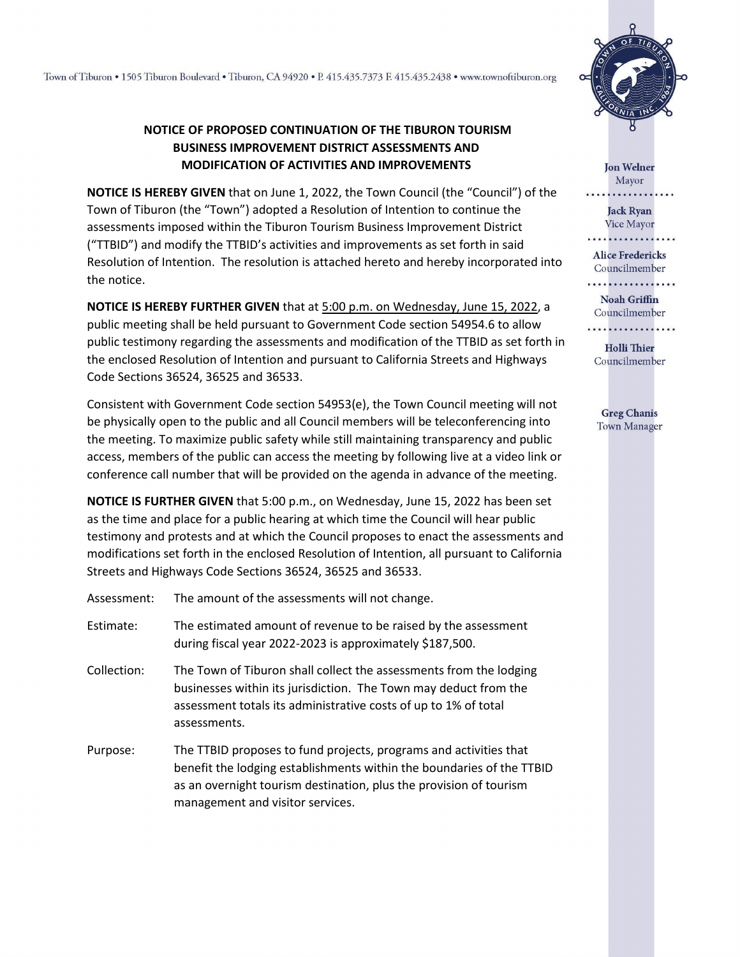## **NOTICE OF PROPOSED CONTINUATION OF THE TIBURON TOURISM BUSINESS IMPROVEMENT DISTRICT ASSESSMENTS AND MODIFICATION OF ACTIVITIES AND IMPROVEMENTS**

**NOTICE IS HEREBY GIVEN** that on June 1, 2022, the Town Council (the "Council") of the Town of Tiburon (the "Town") adopted a Resolution of Intention to continue the assessments imposed within the Tiburon Tourism Business Improvement District ("TTBID") and modify the TTBID's activities and improvements as set forth in said Resolution of Intention. The resolution is attached hereto and hereby incorporated into the notice.

**NOTICE IS HEREBY FURTHER GIVEN** that at 5:00 p.m. on Wednesday, June 15, 2022, a public meeting shall be held pursuant to Government Code section 54954.6 to allow public testimony regarding the assessments and modification of the TTBID as set forth in the enclosed Resolution of Intention and pursuant to California Streets and Highways Code Sections 36524, 36525 and 36533.

Consistent with Government Code section 54953(e), the Town Council meeting will not be physically open to the public and all Council members will be teleconferencing into the meeting. To maximize public safety while still maintaining transparency and public access, members of the public can access the meeting by following live at a video link or conference call number that will be provided on the agenda in advance of the meeting.

**NOTICE IS FURTHER GIVEN** that 5:00 p.m., on Wednesday, June 15, 2022 has been set as the time and place for a public hearing at which time the Council will hear public testimony and protests and at which the Council proposes to enact the assessments and modifications set forth in the enclosed Resolution of Intention, all pursuant to California Streets and Highways Code Sections 36524, 36525 and 36533.

Assessment: The amount of the assessments will not change.

- Estimate: The estimated amount of revenue to be raised by the assessment during fiscal year 2022-2023 is approximately \$187,500.
- Collection: The Town of Tiburon shall collect the assessments from the lodging businesses within its jurisdiction. The Town may deduct from the assessment totals its administrative costs of up to 1% of total assessments.
- Purpose: The TTBID proposes to fund projects, programs and activities that benefit the lodging establishments within the boundaries of the TTBID as an overnight tourism destination, plus the provision of tourism management and visitor services.



**Jon Welner** Mayor

**Jack Ryan** Vice Mayor

**Alice Fredericks** Councilmember

. . . . . . . . . . . . . . . .

**Noah Griffin** Councilmember . . . . . . . . . . . . . . . . . .

**Holli Thier** Councilmember

**Greg Chanis Town Manager**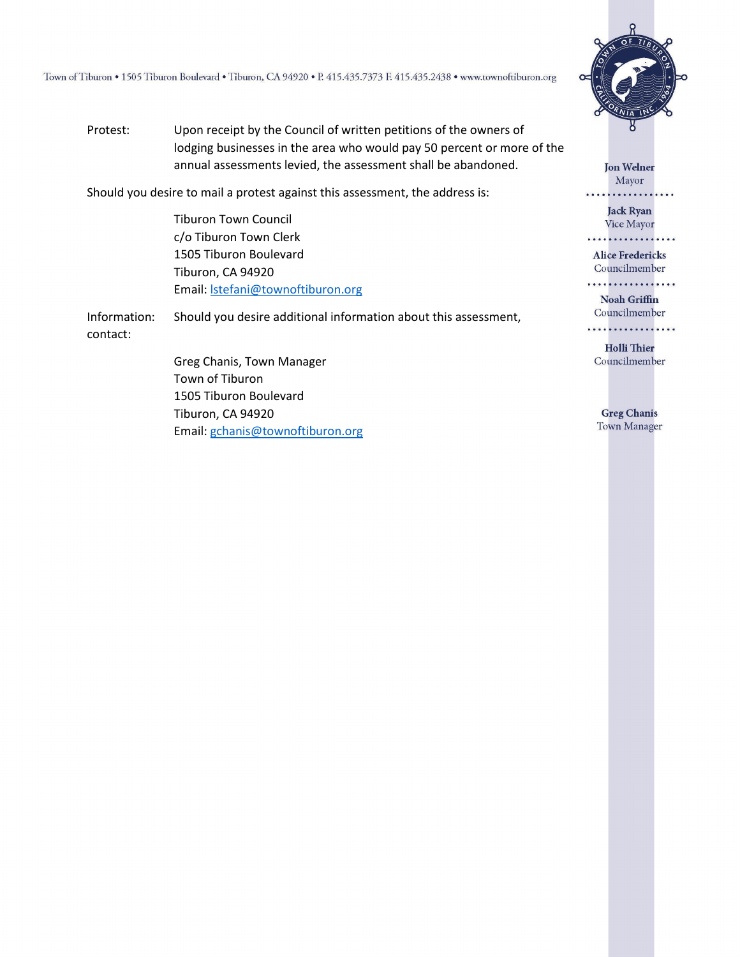Town of Tiburon . 1505 Tiburon Boulevard . Tiburon, CA 94920 . P. 415.435.7373 F. 415.435.2438 . www.townoftiburon.org

Protest: Upon receipt by the Council of written petitions of the owners of lodging businesses in the area who would pay 50 percent or more of the annual assessments levied, the assessment shall be abandoned.

Should you desire to mail a protest against this assessment, the address is:

Tiburon Town Council c/o Tiburon Town Clerk 1505 Tiburon Boulevard Tiburon, CA 94920 Email: [lstefani@townoftiburon.org](mailto:lstefani@townoftiburon.org)

Information: Should you desire additional information about this assessment, contact:

> Greg Chanis, Town Manager Town of Tiburon 1505 Tiburon Boulevard Tiburon, CA 94920 Email: [gchanis@townoftiburon.org](mailto:gchanis@townoftiburon.org)



**Jon Welner** Mayor

**Jack Ryan** Vice Mayor . . *. . . . . . . . . . . . . . .* 

**Alice Fredericks** Councilmember

. . . . . . . . . . . . . . . . .

**Noah Griffin** Councilmember . . . . . . . . . . . . . . . . .

**Holli Thier** Councilmember

**Greg Chanis** Town Manager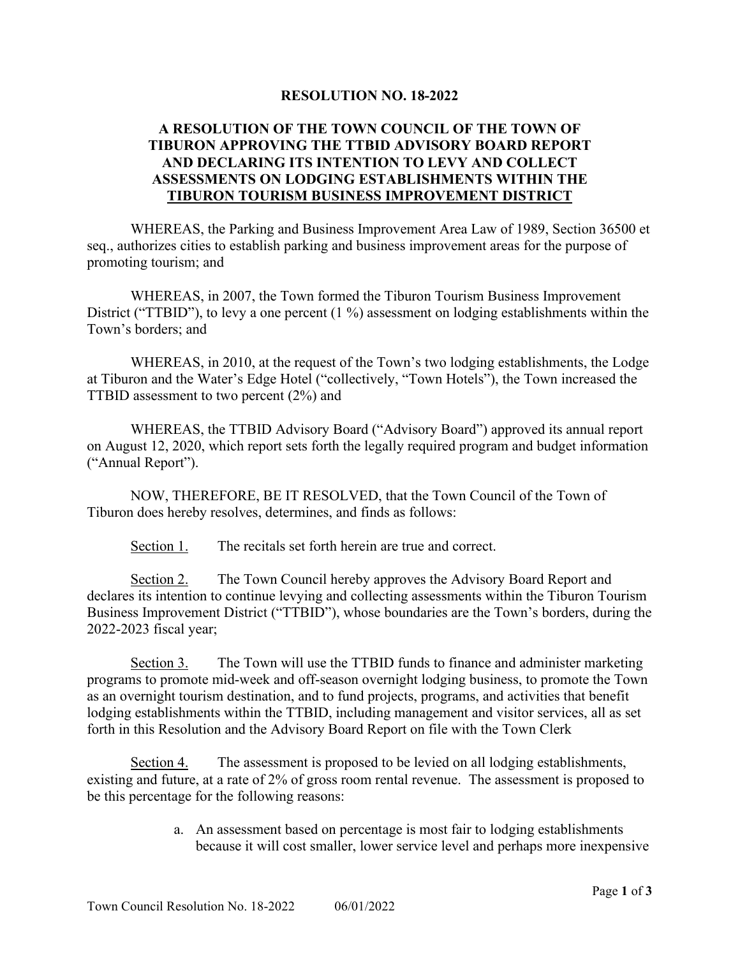## **RESOLUTION NO. 18-2022**

## **A RESOLUTION OF THE TOWN COUNCIL OF THE TOWN OF TIBURON APPROVING THE TTBID ADVISORY BOARD REPORT AND DECLARING ITS INTENTION TO LEVY AND COLLECT ASSESSMENTS ON LODGING ESTABLISHMENTS WITHIN THE TIBURON TOURISM BUSINESS IMPROVEMENT DISTRICT**

WHEREAS, the Parking and Business Improvement Area Law of 1989, Section 36500 et seq., authorizes cities to establish parking and business improvement areas for the purpose of promoting tourism; and

WHEREAS, in 2007, the Town formed the Tiburon Tourism Business Improvement District ("TTBID"), to levy a one percent (1 %) assessment on lodging establishments within the Town's borders; and

WHEREAS, in 2010, at the request of the Town's two lodging establishments, the Lodge at Tiburon and the Water's Edge Hotel ("collectively, "Town Hotels"), the Town increased the TTBID assessment to two percent (2%) and

WHEREAS, the TTBID Advisory Board ("Advisory Board") approved its annual report on August 12, 2020, which report sets forth the legally required program and budget information ("Annual Report").

NOW, THEREFORE, BE IT RESOLVED, that the Town Council of the Town of Tiburon does hereby resolves, determines, and finds as follows:

Section 1. The recitals set forth herein are true and correct.

Section 2. The Town Council hereby approves the Advisory Board Report and declares its intention to continue levying and collecting assessments within the Tiburon Tourism Business Improvement District ("TTBID"), whose boundaries are the Town's borders, during the 2022-2023 fiscal year;

Section 3. The Town will use the TTBID funds to finance and administer marketing programs to promote mid-week and off-season overnight lodging business, to promote the Town as an overnight tourism destination, and to fund projects, programs, and activities that benefit lodging establishments within the TTBID, including management and visitor services, all as set forth in this Resolution and the Advisory Board Report on file with the Town Clerk

Section 4. The assessment is proposed to be levied on all lodging establishments, existing and future, at a rate of 2% of gross room rental revenue. The assessment is proposed to be this percentage for the following reasons:

> a. An assessment based on percentage is most fair to lodging establishments because it will cost smaller, lower service level and perhaps more inexpensive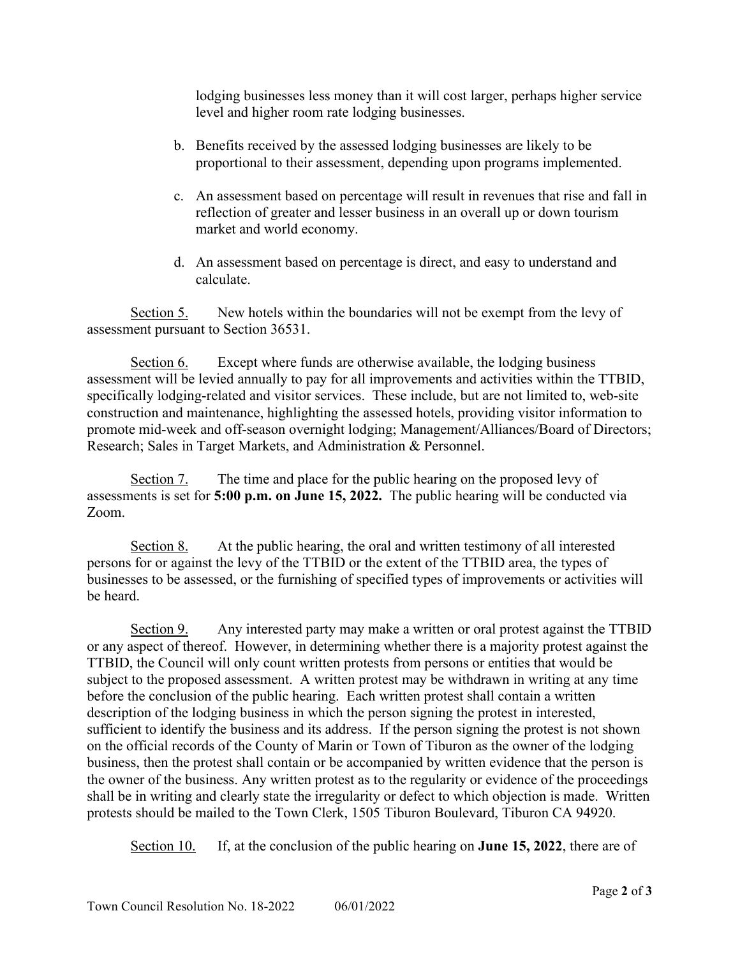lodging businesses less money than it will cost larger, perhaps higher service level and higher room rate lodging businesses.

- b. Benefits received by the assessed lodging businesses are likely to be proportional to their assessment, depending upon programs implemented.
- c. An assessment based on percentage will result in revenues that rise and fall in reflection of greater and lesser business in an overall up or down tourism market and world economy.
- d. An assessment based on percentage is direct, and easy to understand and calculate.

Section 5. New hotels within the boundaries will not be exempt from the levy of assessment pursuant to Section 36531.

Section 6. Except where funds are otherwise available, the lodging business assessment will be levied annually to pay for all improvements and activities within the TTBID, specifically lodging-related and visitor services. These include, but are not limited to, web-site construction and maintenance, highlighting the assessed hotels, providing visitor information to promote mid-week and off-season overnight lodging; Management/Alliances/Board of Directors; Research; Sales in Target Markets, and Administration & Personnel.

Section 7. The time and place for the public hearing on the proposed levy of assessments is set for **5:00 p.m. on June 15, 2022.** The public hearing will be conducted via Zoom.

Section 8. At the public hearing, the oral and written testimony of all interested persons for or against the levy of the TTBID or the extent of the TTBID area, the types of businesses to be assessed, or the furnishing of specified types of improvements or activities will be heard.

Section 9. Any interested party may make a written or oral protest against the TTBID or any aspect of thereof. However, in determining whether there is a majority protest against the TTBID, the Council will only count written protests from persons or entities that would be subject to the proposed assessment. A written protest may be withdrawn in writing at any time before the conclusion of the public hearing. Each written protest shall contain a written description of the lodging business in which the person signing the protest in interested, sufficient to identify the business and its address. If the person signing the protest is not shown on the official records of the County of Marin or Town of Tiburon as the owner of the lodging business, then the protest shall contain or be accompanied by written evidence that the person is the owner of the business. Any written protest as to the regularity or evidence of the proceedings shall be in writing and clearly state the irregularity or defect to which objection is made. Written protests should be mailed to the Town Clerk, 1505 Tiburon Boulevard, Tiburon CA 94920.

Section 10. If, at the conclusion of the public hearing on **June 15, 2022**, there are of